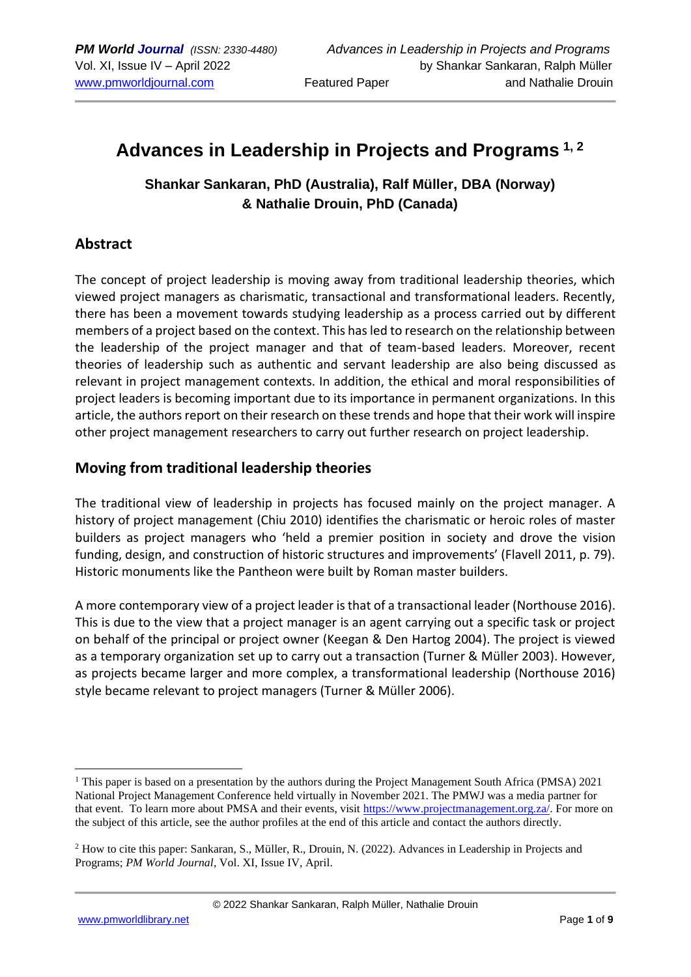# **Advances in Leadership in Projects and Programs 1, 2**

## **Shankar Sankaran, PhD (Australia), Ralf Müller, DBA (Norway) & Nathalie Drouin, PhD (Canada)**

### **Abstract**

The concept of project leadership is moving away from traditional leadership theories, which viewed project managers as charismatic, transactional and transformational leaders. Recently, there has been a movement towards studying leadership as a process carried out by different members of a project based on the context. This has led to research on the relationship between the leadership of the project manager and that of team-based leaders. Moreover, recent theories of leadership such as authentic and servant leadership are also being discussed as relevant in project management contexts. In addition, the ethical and moral responsibilities of project leaders is becoming important due to its importance in permanent organizations. In this article, the authors report on their research on these trends and hope that their work will inspire other project management researchers to carry out further research on project leadership.

### **Moving from traditional leadership theories**

The traditional view of leadership in projects has focused mainly on the project manager. A history of project management (Chiu 2010) identifies the charismatic or heroic roles of master builders as project managers who 'held a premier position in society and drove the vision funding, design, and construction of historic structures and improvements' (Flavell 2011, p. 79). Historic monuments like the Pantheon were built by Roman master builders.

A more contemporary view of a project leader is that of a transactional leader (Northouse 2016). This is due to the view that a project manager is an agent carrying out a specific task or project on behalf of the principal or project owner (Keegan & Den Hartog 2004). The project is viewed as a temporary organization set up to carry out a transaction (Turner & Müller 2003). However, as projects became larger and more complex, a transformational leadership (Northouse 2016) style became relevant to project managers (Turner & Müller 2006).

<sup>&</sup>lt;sup>1</sup> This paper is based on a presentation by the authors during the Project Management South Africa (PMSA) 2021 National Project Management Conference held virtually in November 2021. The PMWJ was a media partner for that event. To learn more about PMSA and their events, visit [https://www.projectmanagement.org.za/.](https://www.projectmanagement.org.za/) For more on the subject of this article, see the author profiles at the end of this article and contact the authors directly.

<sup>2</sup> How to cite this paper: Sankaran, S., Müller, R., Drouin, N. (2022). Advances in Leadership in Projects and Programs; *PM World Journal*, Vol. XI, Issue IV, April.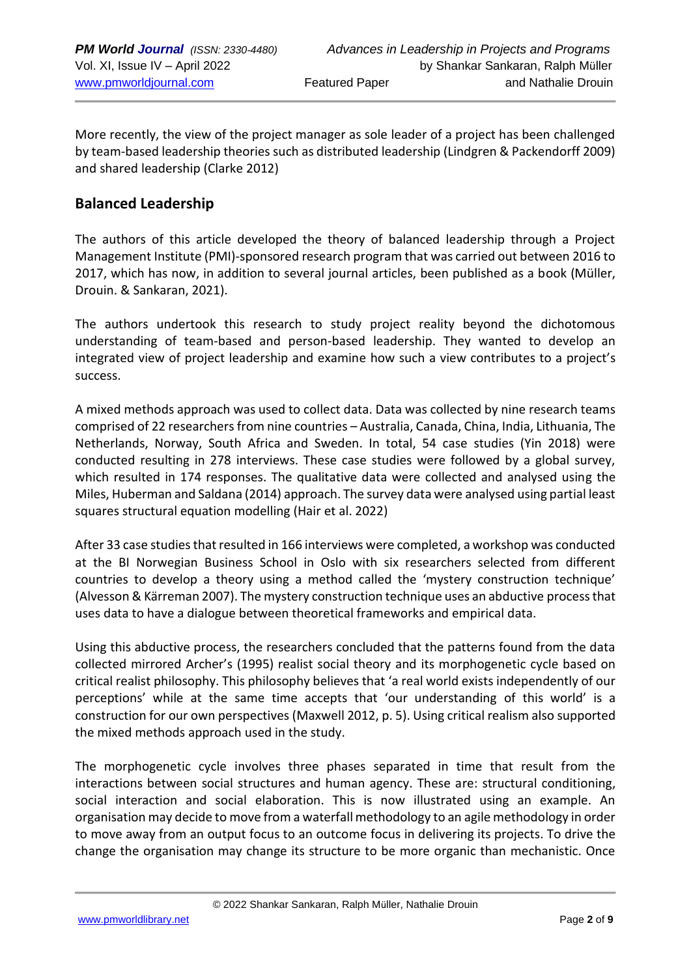More recently, the view of the project manager as sole leader of a project has been challenged by team-based leadership theories such as distributed leadership (Lindgren & Packendorff 2009) and shared leadership (Clarke 2012)

### **Balanced Leadership**

The authors of this article developed the theory of balanced leadership through a Project Management Institute (PMI)-sponsored research program that was carried out between 2016 to 2017, which has now, in addition to several journal articles, been published as a book (Müller, Drouin. & Sankaran, 2021).

The authors undertook this research to study project reality beyond the dichotomous understanding of team-based and person-based leadership. They wanted to develop an integrated view of project leadership and examine how such a view contributes to a project's success.

A mixed methods approach was used to collect data. Data was collected by nine research teams comprised of 22 researchers from nine countries – Australia, Canada, China, India, Lithuania, The Netherlands, Norway, South Africa and Sweden. In total, 54 case studies (Yin 2018) were conducted resulting in 278 interviews. These case studies were followed by a global survey, which resulted in 174 responses. The qualitative data were collected and analysed using the Miles, Huberman and Saldana (2014) approach. The survey data were analysed using partial least squares structural equation modelling (Hair et al. 2022)

After 33 case studies that resulted in 166 interviews were completed, a workshop was conducted at the BI Norwegian Business School in Oslo with six researchers selected from different countries to develop a theory using a method called the 'mystery construction technique' (Alvesson & Kärreman 2007). The mystery construction technique uses an abductive process that uses data to have a dialogue between theoretical frameworks and empirical data.

Using this abductive process, the researchers concluded that the patterns found from the data collected mirrored Archer's (1995) realist social theory and its morphogenetic cycle based on critical realist philosophy. This philosophy believes that 'a real world exists independently of our perceptions' while at the same time accepts that 'our understanding of this world' is a construction for our own perspectives (Maxwell 2012, p. 5). Using critical realism also supported the mixed methods approach used in the study.

The morphogenetic cycle involves three phases separated in time that result from the interactions between social structures and human agency. These are: structural conditioning, social interaction and social elaboration. This is now illustrated using an example. An organisation may decide to move from a waterfall methodology to an agile methodology in order to move away from an output focus to an outcome focus in delivering its projects. To drive the change the organisation may change its structure to be more organic than mechanistic. Once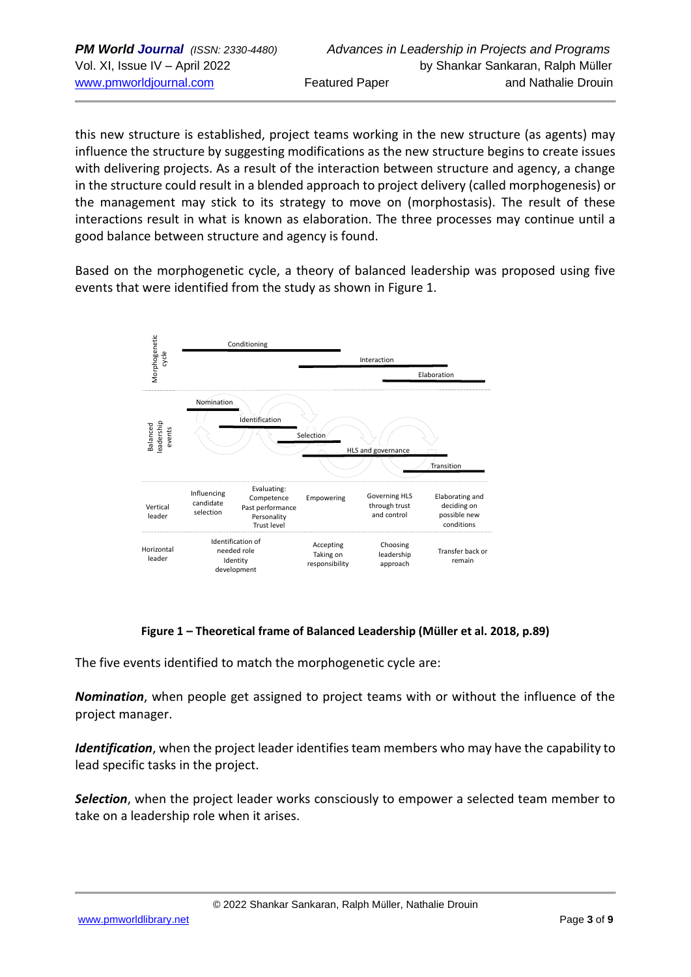this new structure is established, project teams working in the new structure (as agents) may influence the structure by suggesting modifications as the new structure begins to create issues with delivering projects. As a result of the interaction between structure and agency, a change in the structure could result in a blended approach to project delivery (called morphogenesis) or the management may stick to its strategy to move on (morphostasis). The result of these interactions result in what is known as elaboration. The three processes may continue until a good balance between structure and agency is found.

Based on the morphogenetic cycle, a theory of balanced leadership was proposed using five events that were identified from the study as shown in Figure 1.



#### **Figure 1 – Theoretical frame of Balanced Leadership (Müller et al. 2018, p.89)**

The five events identified to match the morphogenetic cycle are:

*Nomination*, when people get assigned to project teams with or without the influence of the project manager.

*Identification*, when the project leader identifies team members who may have the capability to lead specific tasks in the project.

*Selection*, when the project leader works consciously to empower a selected team member to take on a leadership role when it arises.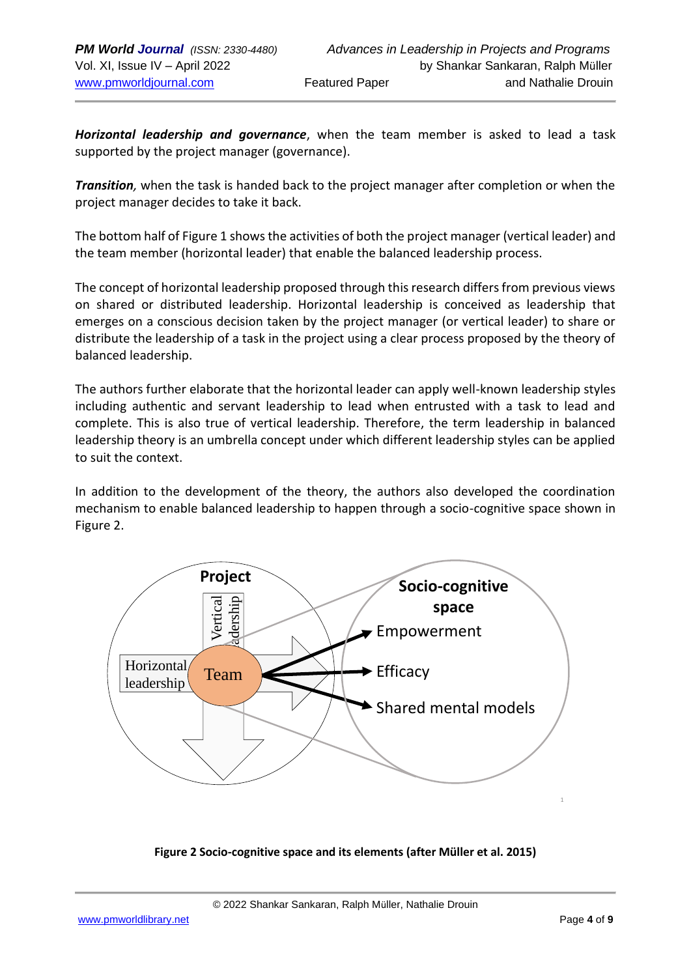*Horizontal leadership and governance*, when the team member is asked to lead a task supported by the project manager (governance).

*Transition,* when the task is handed back to the project manager after completion or when the project manager decides to take it back.

The bottom half of Figure 1 shows the activities of both the project manager (vertical leader) and the team member (horizontal leader) that enable the balanced leadership process.

The concept of horizontal leadership proposed through this research differs from previous views on shared or distributed leadership. Horizontal leadership is conceived as leadership that emerges on a conscious decision taken by the project manager (or vertical leader) to share or distribute the leadership of a task in the project using a clear process proposed by the theory of balanced leadership.

The authors further elaborate that the horizontal leader can apply well-known leadership styles including authentic and servant leadership to lead when entrusted with a task to lead and complete. This is also true of vertical leadership. Therefore, the term leadership in balanced leadership theory is an umbrella concept under which different leadership styles can be applied to suit the context.

In addition to the development of the theory, the authors also developed the coordination mechanism to enable balanced leadership to happen through a socio-cognitive space shown in Figure 2.



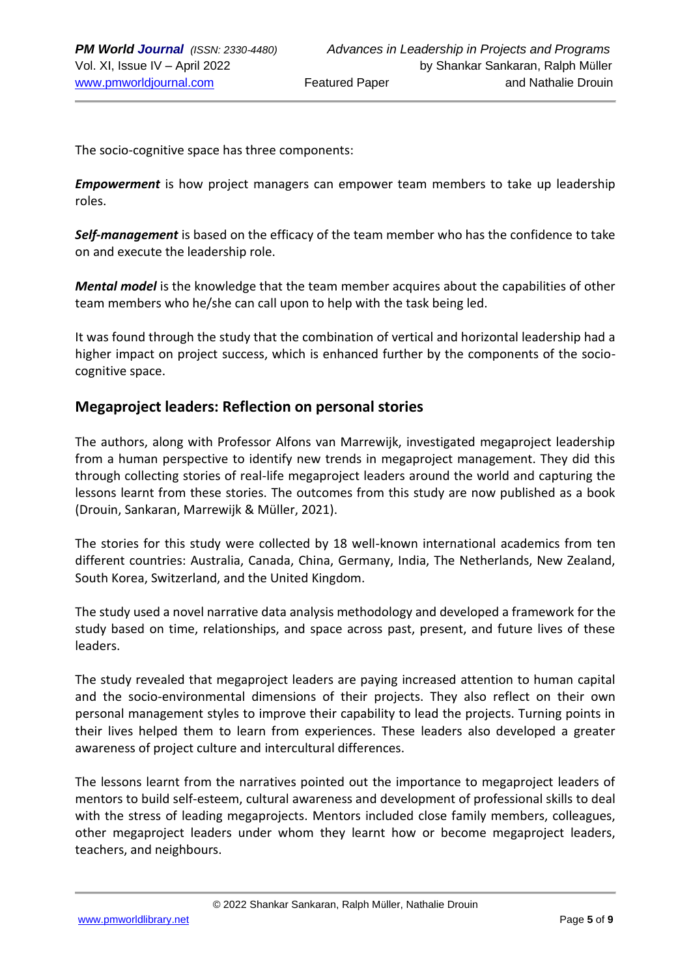The socio-cognitive space has three components:

*Empowerment* is how project managers can empower team members to take up leadership roles.

*Self-management* is based on the efficacy of the team member who has the confidence to take on and execute the leadership role.

*Mental model* is the knowledge that the team member acquires about the capabilities of other team members who he/she can call upon to help with the task being led.

It was found through the study that the combination of vertical and horizontal leadership had a higher impact on project success, which is enhanced further by the components of the sociocognitive space.

#### **Megaproject leaders: Reflection on personal stories**

The authors, along with Professor Alfons van Marrewijk, investigated megaproject leadership from a human perspective to identify new trends in megaproject management. They did this through collecting stories of real-life megaproject leaders around the world and capturing the lessons learnt from these stories. The outcomes from this study are now published as a book (Drouin, Sankaran, Marrewijk & Müller, 2021).

The stories for this study were collected by 18 well-known international academics from ten different countries: Australia, Canada, China, Germany, India, The Netherlands, New Zealand, South Korea, Switzerland, and the United Kingdom.

The study used a novel narrative data analysis methodology and developed a framework for the study based on time, relationships, and space across past, present, and future lives of these leaders.

The study revealed that megaproject leaders are paying increased attention to human capital and the socio-environmental dimensions of their projects. They also reflect on their own personal management styles to improve their capability to lead the projects. Turning points in their lives helped them to learn from experiences. These leaders also developed a greater awareness of project culture and intercultural differences.

The lessons learnt from the narratives pointed out the importance to megaproject leaders of mentors to build self-esteem, cultural awareness and development of professional skills to deal with the stress of leading megaprojects. Mentors included close family members, colleagues, other megaproject leaders under whom they learnt how or become megaproject leaders, teachers, and neighbours.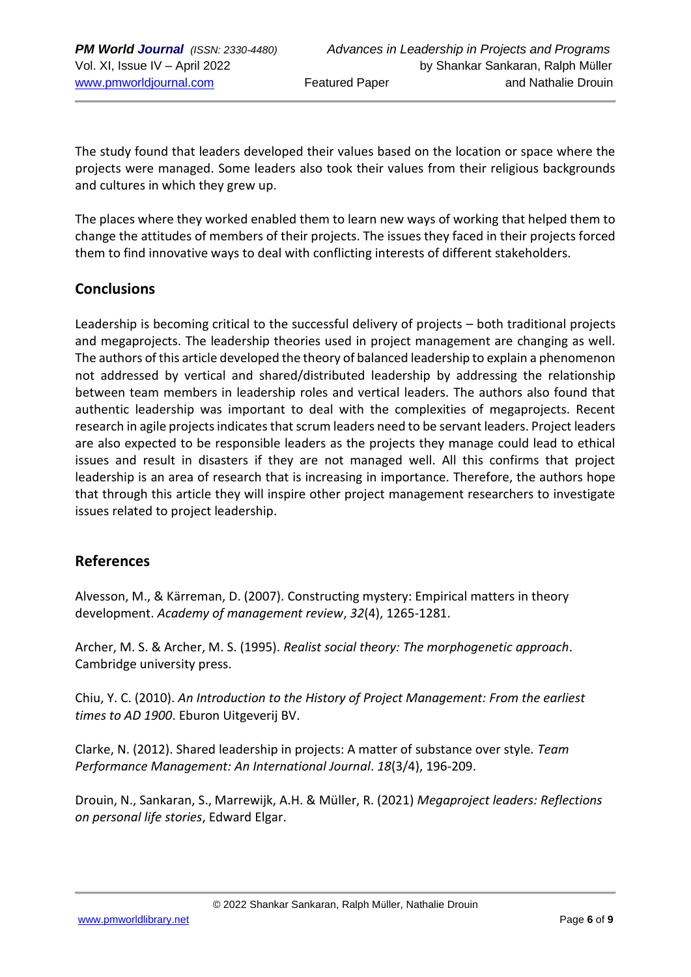The study found that leaders developed their values based on the location or space where the projects were managed. Some leaders also took their values from their religious backgrounds and cultures in which they grew up.

The places where they worked enabled them to learn new ways of working that helped them to change the attitudes of members of their projects. The issues they faced in their projects forced them to find innovative ways to deal with conflicting interests of different stakeholders.

### **Conclusions**

Leadership is becoming critical to the successful delivery of projects – both traditional projects and megaprojects. The leadership theories used in project management are changing as well. The authors of this article developed the theory of balanced leadership to explain a phenomenon not addressed by vertical and shared/distributed leadership by addressing the relationship between team members in leadership roles and vertical leaders. The authors also found that authentic leadership was important to deal with the complexities of megaprojects. Recent research in agile projects indicates that scrum leaders need to be servant leaders. Project leaders are also expected to be responsible leaders as the projects they manage could lead to ethical issues and result in disasters if they are not managed well. All this confirms that project leadership is an area of research that is increasing in importance. Therefore, the authors hope that through this article they will inspire other project management researchers to investigate issues related to project leadership.

### **References**

Alvesson, M., & Kärreman, D. (2007). Constructing mystery: Empirical matters in theory development. *Academy of management review*, *32*(4), 1265-1281.

Archer, M. S. & Archer, M. S. (1995). *Realist social theory: The morphogenetic approach*. Cambridge university press.

Chiu, Y. C. (2010). *An Introduction to the History of Project Management: From the earliest times to AD 1900*. Eburon Uitgeverij BV.

Clarke, N. (2012). Shared leadership in projects: A matter of substance over style. *Team Performance Management: An International Journal*. *18*(3/4), 196-209.

Drouin, N., Sankaran, S., Marrewijk, A.H. & Müller, R. (2021) *Megaproject leaders: Reflections on personal life stories*, Edward Elgar.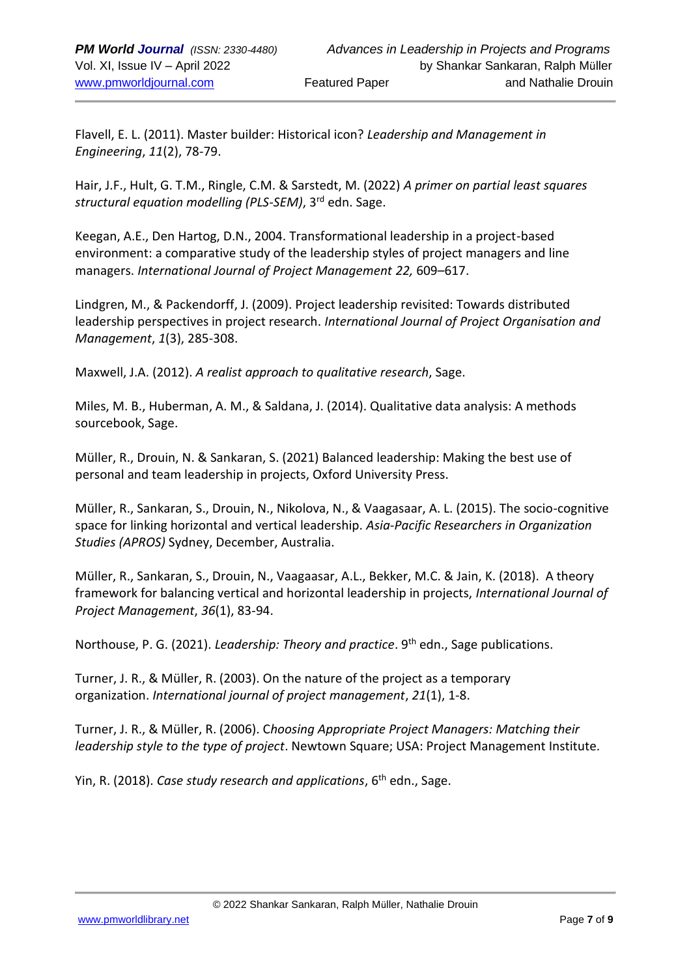Flavell, E. L. (2011). Master builder: Historical icon? *Leadership and Management in Engineering*, *11*(2), 78-79.

Hair, J.F., Hult, G. T.M., Ringle, C.M. & Sarstedt, M. (2022) *A primer on partial least squares structural equation modelling (PLS-SEM)*, 3rd edn. Sage.

Keegan, A.E., Den Hartog, D.N., 2004. Transformational leadership in a project-based environment: a comparative study of the leadership styles of project managers and line managers. *International Journal of Project Management 22,* 609–617.

Lindgren, M., & Packendorff, J. (2009). Project leadership revisited: Towards distributed leadership perspectives in project research. *International Journal of Project Organisation and Management*, *1*(3), 285-308.

Maxwell, J.A. (2012). *A realist approach to qualitative research*, Sage.

Miles, M. B., Huberman, A. M., & Saldana, J. (2014). Qualitative data analysis: A methods sourcebook, Sage.

Müller, R., Drouin, N. & Sankaran, S. (2021) Balanced leadership: Making the best use of personal and team leadership in projects, Oxford University Press.

Müller, R., Sankaran, S., Drouin, N., Nikolova, N., & Vaagasaar, A. L. (2015). The socio-cognitive space for linking horizontal and vertical leadership. *Asia-Pacific Researchers in Organization Studies (APROS)* Sydney, December, Australia.

Müller, R., Sankaran, S., Drouin, N., Vaagaasar, A.L., Bekker, M.C. & Jain, K. (2018). A theory framework for balancing vertical and horizontal leadership in projects, *International Journal of Project Management*, *36*(1), 83-94.

Northouse, P. G. (2021). *Leadership: Theory and practice*. 9<sup>th</sup> edn., Sage publications.

Turner, J. R., & Müller, R. (2003). On the nature of the project as a temporary organization. *International journal of project management*, *21*(1), 1-8.

Turner, J. R., & Müller, R. (2006). C*hoosing Appropriate Project Managers: Matching their leadership style to the type of project*. Newtown Square; USA: Project Management Institute.

Yin, R. (2018). *Case study research and applications*, 6th edn., Sage.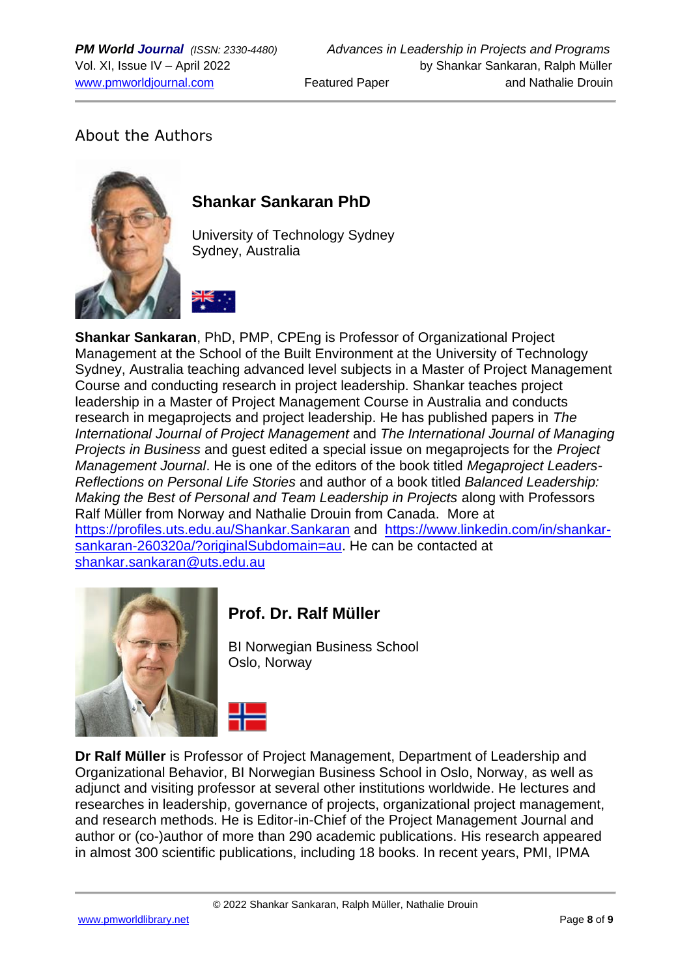# About the Authors



# **Shankar Sankaran PhD**

University of Technology Sydney Sydney, Australia



**Shankar Sankaran**, PhD, PMP, CPEng is Professor of Organizational Project Management at the School of the Built Environment at the University of Technology Sydney, Australia teaching advanced level subjects in a Master of Project Management Course and conducting research in project leadership. Shankar teaches project leadership in a Master of Project Management Course in Australia and conducts research in megaprojects and project leadership. He has published papers in *The International Journal of Project Management* and *The International Journal of Managing Projects in Business* and guest edited a special issue on megaprojects for the *Project Management Journal*. He is one of the editors of the book titled *Megaproject Leaders-Reflections on Personal Life Stories* and author of a book titled *Balanced Leadership: Making the Best of Personal and Team Leadership in Projects* along with Professors Ralf Müller from Norway and Nathalie Drouin from Canada. More at <https://profiles.uts.edu.au/Shankar.Sankaran> and [https://www.linkedin.com/in/shankar](https://www.linkedin.com/in/shankar-sankaran-260320a/?originalSubdomain=au)[sankaran-260320a/?originalSubdomain=au.](https://www.linkedin.com/in/shankar-sankaran-260320a/?originalSubdomain=au) He can be contacted at [shankar.sankaran@uts.edu.au](mailto:shankar.sankaran@uts.edu.au)



# **Prof. Dr. Ralf Müller**

BI Norwegian Business School Oslo, Norway

**Dr Ralf Müller** is Professor of Project Management, Department of Leadership and Organizational Behavior, BI Norwegian Business School in Oslo, Norway, as well as adjunct and visiting professor at several other institutions worldwide. He lectures and researches in leadership, governance of projects, organizational project management, and research methods. He is Editor-in-Chief of the Project Management Journal and author or (co-)author of more than 290 academic publications. His research appeared in almost 300 scientific publications, including 18 books. In recent years, PMI, IPMA